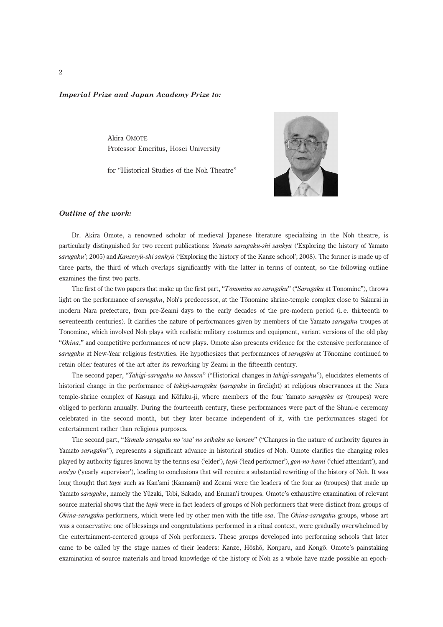## Imperial Prize and Japan Academy Prize to:

Akira OMOTE Professor Emeritus, Hosei University

for ''Historical Studies of the Noh Theatre''



## Outline of the work:

Dr. Akira Omote, a renowned scholar of medieval Japanese literature specializing in the Noh theatre, is particularly distinguished for two recent publications: Yamato sarugaku-shi sankyū ('Exploring the history of Yamato sarugaku'; 2005) and Kanzeryū-shi sankyū ('Exploring the history of the Kanze school'; 2008). The former is made up of three parts, the third of which overlaps significantly with the latter in terms of content, so the following outline examines the first two parts.

The first of the two papers that make up the first part, "Tonomine no sarugaku" ("Sarugaku at Tonomine"), throws light on the performance of sarugaku, Noh's predecessor, at the Tonomine shrine-temple complex close to Sakurai in modern Nara prefecture, from pre-Zeami days to the early decades of the pre-modern period (i. e. thirteenth to seventeenth centuries). It clarifies the nature of performances given by members of the Yamato sarugaku troupes at Tonomine, which involved Noh plays with realistic military costumes and equipment, variant versions of the old play "Okina," and competitive performances of new plays. Omote also presents evidence for the extensive performance of sarugaku at New-Year religious festivities. He hypothesizes that performances of sarugaku at Tonomine continued to retain older features of the art after its reworking by Zeami in the fifteenth century.

The second paper, "Takigi-sarugaku no hensen" ("Historical changes in takigi-sarugaku"), elucidates elements of historical change in the performance of takigi-sarugaku (sarugaku in firelight) at religious observances at the Nara temple-shrine complex of Kasuga and Kōfuku-ji, where members of the four Yamato sarugaku za (troupes) were obliged to perform annually. During the fourteenth century, these performances were part of the Shuni-e ceremony celebrated in the second month, but they later became independent of it, with the performances staged for entertainment rather than religious purposes.

The second part, "Yamato sarugaku no 'osa' no seikaku no hensen" ("Changes in the nature of authority figures in Yamato sarugaku"), represents a significant advance in historical studies of Noh. Omote clarifies the changing roles played by authority figures known by the terms *osa* ('elder'),  $t$ ayū ('lead performer'), *gon-no-kami* ('chief attendant'), and nen'yo ('yearly supervisor'), leading to conclusions that will require a substantial rewriting of the history of Noh. It was long thought that tay usuch as Kan'ami (Kannami) and Zeami were the leaders of the four za (troupes) that made up Yamato sarugaku, namely the Yūzaki, Tobi, Sakado, and Enman'i troupes. Omote's exhaustive examination of relevant source material shows that the  $tay\bar{u}$  were in fact leaders of groups of Noh performers that were distinct from groups of Okina-sarugaku performers, which were led by other men with the title osa. The Okina-sarugaku groups, whose art was a conservative one of blessings and congratulations performed in a ritual context, were gradually overwhelmed by the entertainment-centered groups of Noh performers. These groups developed into performing schools that later came to be called by the stage names of their leaders: Kanze, Hosho, Konparu, and Kongo. Omote's painstaking examination of source materials and broad knowledge of the history of Noh as a whole have made possible an epoch